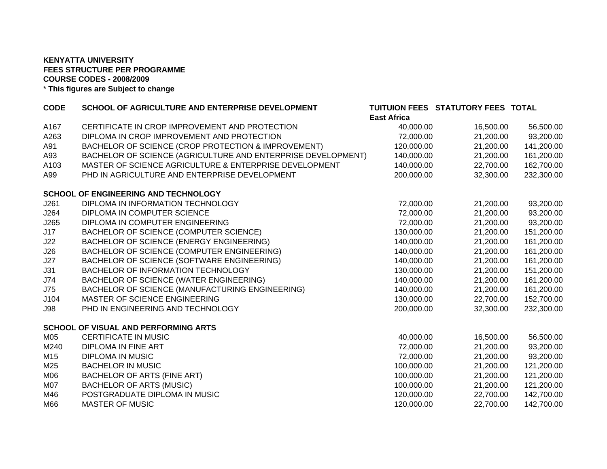## **KENYATTA UNIVERSITY FEES STRUCTURE PER PROGRAMMECOURSE CODES - 2008/2009** \* **This figures are Subject to change**

| <b>CODE</b> | SCHOOL OF AGRICULTURE AND ENTERPRISE DEVELOPMENT             |                    | TUITUION FEES STATUTORY FEES TOTAL |            |
|-------------|--------------------------------------------------------------|--------------------|------------------------------------|------------|
|             |                                                              | <b>East Africa</b> |                                    |            |
| A167        | CERTIFICATE IN CROP IMPROVEMENT AND PROTECTION               | 40,000.00          | 16,500.00                          | 56,500.00  |
| A263        | DIPLOMA IN CROP IMPROVEMENT AND PROTECTION                   | 72,000.00          | 21,200.00                          | 93,200.00  |
| A91         | BACHELOR OF SCIENCE (CROP PROTECTION & IMPROVEMENT)          | 120,000.00         | 21,200.00                          | 141,200.00 |
| A93         | BACHELOR OF SCIENCE (AGRICULTURE AND ENTERPRISE DEVELOPMENT) | 140,000.00         | 21,200.00                          | 161,200.00 |
| A103        | MASTER OF SCIENCE AGRICULTURE & ENTERPRISE DEVELOPMENT       | 140,000.00         | 22,700.00                          | 162,700.00 |
| A99         | PHD IN AGRICULTURE AND ENTERPRISE DEVELOPMENT                | 200,000.00         | 32,300.00                          | 232,300.00 |
|             | <b>SCHOOL OF ENGINEERING AND TECHNOLOGY</b>                  |                    |                                    |            |
| J261        | DIPLOMA IN INFORMATION TECHNOLOGY                            | 72,000.00          | 21,200.00                          | 93,200.00  |
| J264        | DIPLOMA IN COMPUTER SCIENCE                                  | 72,000.00          | 21,200.00                          | 93,200.00  |
| J265        | DIPLOMA IN COMPUTER ENGINEERING                              | 72,000.00          | 21,200.00                          | 93,200.00  |
| J17         | BACHELOR OF SCIENCE (COMPUTER SCIENCE)                       | 130,000.00         | 21,200.00                          | 151,200.00 |
| J22         | BACHELOR OF SCIENCE (ENERGY ENGINEERING)                     | 140,000.00         | 21,200.00                          | 161,200.00 |
| J26         | BACHELOR OF SCIENCE (COMPUTER ENGINEERING)                   | 140,000.00         | 21,200.00                          | 161,200.00 |
| J27         | BACHELOR OF SCIENCE (SOFTWARE ENGINEERING)                   | 140,000.00         | 21,200.00                          | 161,200.00 |
| J31         | BACHELOR OF INFORMATION TECHNOLOGY                           | 130,000.00         | 21,200.00                          | 151,200.00 |
| J74         | BACHELOR OF SCIENCE (WATER ENGINEERING)                      | 140,000.00         | 21,200.00                          | 161,200.00 |
| J75         | BACHELOR OF SCIENCE (MANUFACTURING ENGINEERING)              | 140,000.00         | 21,200.00                          | 161,200.00 |
| J104        | MASTER OF SCIENCE ENGINEERING                                | 130,000.00         | 22,700.00                          | 152,700.00 |
| <b>J98</b>  | PHD IN ENGINEERING AND TECHNOLOGY                            | 200,000.00         | 32,300.00                          | 232,300.00 |
|             | <b>SCHOOL OF VISUAL AND PERFORMING ARTS</b>                  |                    |                                    |            |
| M05         | CERTIFICATE IN MUSIC                                         | 40,000.00          | 16,500.00                          | 56,500.00  |
| M240        | DIPLOMA IN FINE ART                                          | 72,000.00          | 21,200.00                          | 93,200.00  |
| M15         | <b>DIPLOMA IN MUSIC</b>                                      | 72,000.00          | 21,200.00                          | 93,200.00  |
| M25         | <b>BACHELOR IN MUSIC</b>                                     | 100,000.00         | 21,200.00                          | 121,200.00 |
| M06         | BACHELOR OF ARTS (FINE ART)                                  | 100,000.00         | 21,200.00                          | 121,200.00 |
| <b>M07</b>  | <b>BACHELOR OF ARTS (MUSIC)</b>                              | 100,000.00         | 21,200.00                          | 121,200.00 |
| M46         | POSTGRADUATE DIPLOMA IN MUSIC                                | 120,000.00         | 22,700.00                          | 142,700.00 |
| M66         | <b>MASTER OF MUSIC</b>                                       | 120,000.00         | 22,700.00                          | 142,700.00 |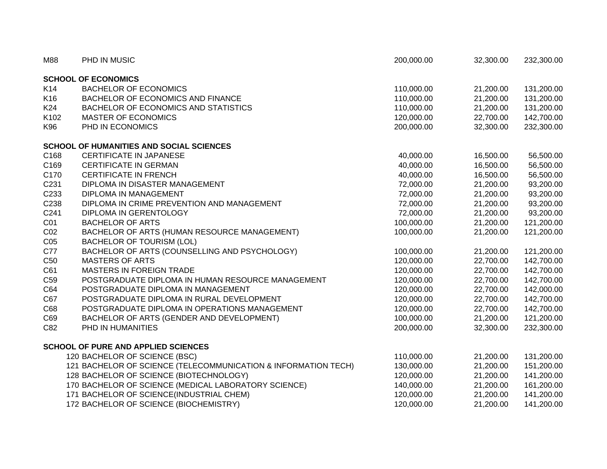| M88             | PHD IN MUSIC                                                   | 200,000.00 | 32,300.00 | 232,300.00 |
|-----------------|----------------------------------------------------------------|------------|-----------|------------|
|                 | <b>SCHOOL OF ECONOMICS</b>                                     |            |           |            |
| K14             | <b>BACHELOR OF ECONOMICS</b>                                   | 110,000.00 | 21,200.00 | 131,200.00 |
| K16             | <b>BACHELOR OF ECONOMICS AND FINANCE</b>                       | 110,000.00 | 21,200.00 | 131,200.00 |
| K24             | BACHELOR OF ECONOMICS AND STATISTICS                           | 110,000.00 | 21,200.00 | 131,200.00 |
| K102            | <b>MASTER OF ECONOMICS</b>                                     | 120,000.00 | 22,700.00 | 142,700.00 |
| K96             | PHD IN ECONOMICS                                               | 200,000.00 | 32,300.00 | 232,300.00 |
|                 | <b>SCHOOL OF HUMANITIES AND SOCIAL SCIENCES</b>                |            |           |            |
| C168            | <b>CERTIFICATE IN JAPANESE</b>                                 | 40,000.00  | 16,500.00 | 56,500.00  |
| C169            | <b>CERTIFICATE IN GERMAN</b>                                   | 40,000.00  | 16,500.00 | 56,500.00  |
| C170            | <b>CERTIFICATE IN FRENCH</b>                                   | 40,000.00  | 16,500.00 | 56,500.00  |
| C231            | DIPLOMA IN DISASTER MANAGEMENT                                 | 72,000.00  | 21,200.00 | 93,200.00  |
| C233            | <b>DIPLOMA IN MANAGEMENT</b>                                   | 72,000.00  | 21,200.00 | 93,200.00  |
| C238            | DIPLOMA IN CRIME PREVENTION AND MANAGEMENT                     | 72,000.00  | 21,200.00 | 93,200.00  |
| C241            | DIPLOMA IN GERENTOLOGY                                         | 72,000.00  | 21,200.00 | 93,200.00  |
| CO <sub>1</sub> | <b>BACHELOR OF ARTS</b>                                        | 100,000.00 | 21,200.00 | 121,200.00 |
| CO <sub>2</sub> | BACHELOR OF ARTS (HUMAN RESOURCE MANAGEMENT)                   | 100,000.00 | 21,200.00 | 121,200.00 |
| CO <sub>5</sub> | <b>BACHELOR OF TOURISM (LOL)</b>                               |            |           |            |
| C77             | BACHELOR OF ARTS (COUNSELLING AND PSYCHOLOGY)                  | 100,000.00 | 21,200.00 | 121,200.00 |
| C <sub>50</sub> | <b>MASTERS OF ARTS</b>                                         | 120,000.00 | 22,700.00 | 142,700.00 |
| C61             | <b>MASTERS IN FOREIGN TRADE</b>                                | 120,000.00 | 22,700.00 | 142,700.00 |
| C <sub>59</sub> | POSTGRADUATE DIPLOMA IN HUMAN RESOURCE MANAGEMENT              | 120,000.00 | 22,700.00 | 142,700.00 |
| C64             | POSTGRADUATE DIPLOMA IN MANAGEMENT                             | 120,000.00 | 22,700.00 | 142,000.00 |
| C67             | POSTGRADUATE DIPLOMA IN RURAL DEVELOPMENT                      | 120,000.00 | 22,700.00 | 142,700.00 |
| C68             | POSTGRADUATE DIPLOMA IN OPERATIONS MANAGEMENT                  | 120,000.00 | 22,700.00 | 142,700.00 |
| C69             | BACHELOR OF ARTS (GENDER AND DEVELOPMENT)                      | 100,000.00 | 21,200.00 | 121,200.00 |
| C82             | PHD IN HUMANITIES                                              | 200,000.00 | 32,300.00 | 232,300.00 |
|                 | <b>SCHOOL OF PURE AND APPLIED SCIENCES</b>                     |            |           |            |
|                 | 120 BACHELOR OF SCIENCE (BSC)                                  | 110,000.00 | 21,200.00 | 131,200.00 |
|                 | 121 BACHELOR OF SCIENCE (TELECOMMUNICATION & INFORMATION TECH) | 130,000.00 | 21,200.00 | 151,200.00 |
|                 | 128 BACHELOR OF SCIENCE (BIOTECHNOLOGY)                        | 120,000.00 | 21,200.00 | 141,200.00 |
|                 | 170 BACHELOR OF SCIENCE (MEDICAL LABORATORY SCIENCE)           | 140,000.00 | 21,200.00 | 161,200.00 |
|                 | 171 BACHELOR OF SCIENCE(INDUSTRIAL CHEM)                       | 120,000.00 | 21,200.00 | 141,200.00 |
|                 | 172 BACHELOR OF SCIENCE (BIOCHEMISTRY)                         | 120,000.00 | 21,200.00 | 141,200.00 |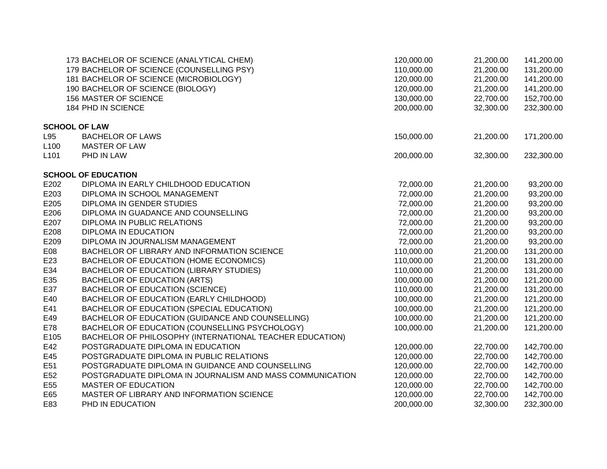|                  | 173 BACHELOR OF SCIENCE (ANALYTICAL CHEM)                 | 120,000.00 | 21,200.00 | 141,200.00 |
|------------------|-----------------------------------------------------------|------------|-----------|------------|
|                  | 179 BACHELOR OF SCIENCE (COUNSELLING PSY)                 | 110,000.00 | 21,200.00 | 131,200.00 |
|                  | 181 BACHELOR OF SCIENCE (MICROBIOLOGY)                    | 120,000.00 | 21,200.00 | 141,200.00 |
|                  | 190 BACHELOR OF SCIENCE (BIOLOGY)                         | 120,000.00 | 21,200.00 | 141,200.00 |
|                  | 156 MASTER OF SCIENCE                                     | 130,000.00 | 22,700.00 | 152,700.00 |
|                  | 184 PHD IN SCIENCE                                        | 200,000.00 | 32,300.00 | 232,300.00 |
|                  | <b>SCHOOL OF LAW</b>                                      |            |           |            |
| L95              | <b>BACHELOR OF LAWS</b>                                   | 150,000.00 | 21,200.00 | 171,200.00 |
| L <sub>100</sub> | <b>MASTER OF LAW</b>                                      |            |           |            |
| L <sub>101</sub> | PHD IN LAW                                                | 200,000.00 | 32,300.00 | 232,300.00 |
|                  | <b>SCHOOL OF EDUCATION</b>                                |            |           |            |
| E202             | DIPLOMA IN EARLY CHILDHOOD EDUCATION                      | 72,000.00  | 21,200.00 | 93,200.00  |
| E203             | DIPLOMA IN SCHOOL MANAGEMENT                              | 72,000.00  | 21,200.00 | 93,200.00  |
| E205             | DIPLOMA IN GENDER STUDIES                                 | 72,000.00  | 21,200.00 | 93,200.00  |
| E206             | DIPLOMA IN GUADANCE AND COUNSELLING                       | 72,000.00  | 21,200.00 | 93,200.00  |
| E207             | DIPLOMA IN PUBLIC RELATIONS                               | 72,000.00  | 21,200.00 | 93,200.00  |
| E208             | DIPLOMA IN EDUCATION                                      | 72,000.00  | 21,200.00 | 93,200.00  |
| E209             | DIPLOMA IN JOURNALISM MANAGEMENT                          | 72,000.00  | 21,200.00 | 93,200.00  |
| E08              | BACHELOR OF LIBRARY AND INFORMATION SCIENCE               | 110,000.00 | 21,200.00 | 131,200.00 |
| E <sub>23</sub>  | BACHELOR OF EDUCATION (HOME ECONOMICS)                    | 110,000.00 | 21,200.00 | 131,200.00 |
| E34              | BACHELOR OF EDUCATION (LIBRARY STUDIES)                   | 110,000.00 | 21,200.00 | 131,200.00 |
| E35              | <b>BACHELOR OF EDUCATION (ARTS)</b>                       | 100,000.00 | 21,200.00 | 121,200.00 |
| E37              | <b>BACHELOR OF EDUCATION (SCIENCE)</b>                    | 110,000.00 | 21,200.00 | 131,200.00 |
| E40              | BACHELOR OF EDUCATION (EARLY CHILDHOOD)                   | 100,000.00 | 21,200.00 | 121,200.00 |
| E41              | BACHELOR OF EDUCATION (SPECIAL EDUCATION)                 | 100,000.00 | 21,200.00 | 121,200.00 |
| E49              | BACHELOR OF EDUCATION (GUIDANCE AND COUNSELLING)          | 100,000.00 | 21,200.00 | 121,200.00 |
| E78              | BACHELOR OF EDUCATION (COUNSELLING PSYCHOLOGY)            | 100,000.00 | 21,200.00 | 121,200.00 |
| E105             | BACHELOR OF PHILOSOPHY (INTERNATIONAL TEACHER EDUCATION)  |            |           |            |
| E42              | POSTGRADUATE DIPLOMA IN EDUCATION                         | 120,000.00 | 22,700.00 | 142,700.00 |
| E45              | POSTGRADUATE DIPLOMA IN PUBLIC RELATIONS                  | 120,000.00 | 22,700.00 | 142,700.00 |
| E51              | POSTGRADUATE DIPLOMA IN GUIDANCE AND COUNSELLING          | 120,000.00 | 22,700.00 | 142,700.00 |
| E <sub>52</sub>  | POSTGRADUATE DIPLOMA IN JOURNALISM AND MASS COMMUNICATION | 120,000.00 | 22,700.00 | 142,700.00 |
| E55              | <b>MASTER OF EDUCATION</b>                                | 120,000.00 | 22,700.00 | 142,700.00 |
| E65              | MASTER OF LIBRARY AND INFORMATION SCIENCE                 | 120,000.00 | 22,700.00 | 142,700.00 |
| E83              | PHD IN EDUCATION                                          | 200,000.00 | 32,300.00 | 232,300.00 |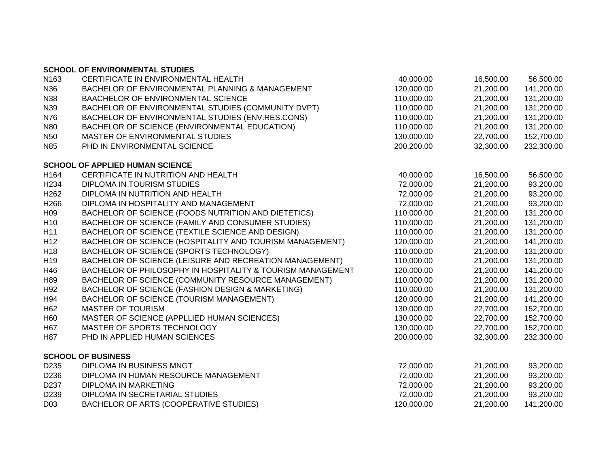|                  | <b>SCHOOL OF ENVIRONMENTAL STUDIES</b>                     |            |           |            |
|------------------|------------------------------------------------------------|------------|-----------|------------|
| N <sub>163</sub> | CERTIFICATE IN ENVIRONMENTAL HEALTH                        | 40,000.00  | 16,500.00 | 56,500.00  |
| N36              | BACHELOR OF ENVIRONMENTAL PLANNING & MANAGEMENT            | 120,000.00 | 21,200.00 | 141,200.00 |
| N38              | BAACHELOR OF ENVIRONMENTAL SCIENCE                         | 110,000.00 | 21,200.00 | 131,200.00 |
| N39              | BACHELOR OF ENVIRONMENTAL STUDIES (COMMUNITY DVPT)         | 110,000.00 | 21,200.00 | 131,200.00 |
| N76              | BACHELOR OF ENVIRONMENTAL STUDIES (ENV.RES.CONS)           | 110,000.00 | 21,200.00 | 131,200.00 |
| <b>N80</b>       | BACHELOR OF SCIENCE (ENVIRONMENTAL EDUCATION)              | 110,000.00 | 21,200.00 | 131,200.00 |
| N <sub>50</sub>  | MASTER OF ENVIRONMENTAL STUDIES                            | 130,000.00 | 22,700.00 | 152,700.00 |
| N85              | PHD IN ENVIRONMENTAL SCIENCE                               | 200,200.00 | 32,300.00 | 232,300.00 |
|                  | <b>SCHOOL OF APPLIED HUMAN SCIENCE</b>                     |            |           |            |
| H164             | CERTIFICATE IN NUTRITION AND HEALTH                        | 40,000.00  | 16,500.00 | 56,500.00  |
| H <sub>234</sub> | DIPLOMA IN TOURISM STUDIES                                 | 72,000.00  | 21,200.00 | 93,200.00  |
| H <sub>262</sub> | DIPLOMA IN NUTRITION AND HEALTH                            | 72,000.00  | 21,200.00 | 93,200.00  |
| H266             | DIPLOMA IN HOSPITALITY AND MANAGEMENT                      | 72,000.00  | 21,200.00 | 93,200.00  |
| H <sub>09</sub>  | BACHELOR OF SCIENCE (FOODS NUTRITION AND DIETETICS)        | 110,000.00 | 21,200.00 | 131,200.00 |
| H <sub>10</sub>  | BACHELOR OF SCIENCE (FAMILY AND CONSUMER STUDIES)          | 110,000.00 | 21,200.00 | 131,200.00 |
| H11              | BACHELOR OF SCIENCE (TEXTILE SCIENCE AND DESIGN)           | 110,000.00 | 21,200.00 | 131,200.00 |
| H <sub>12</sub>  | BACHELOR OF SCIENCE (HOSPITALITY AND TOURISM MANAGEMENT)   | 120,000.00 | 21,200.00 | 141,200.00 |
| H <sub>18</sub>  | BACHELOR OF SCIENCE (SPORTS TECHNOLOGY)                    | 110,000.00 | 21,200.00 | 131,200.00 |
| H <sub>19</sub>  | BACHELOR OF SCIENCE (LEISURE AND RECREATION MANAGEMENT)    | 110,000.00 | 21,200.00 | 131,200.00 |
| H46              | BACHELOR OF PHILOSOPHY IN HOSPITALITY & TOURISM MANAGEMENT | 120,000.00 | 21,200.00 | 141,200.00 |
| H89              | BACHELOR OF SCIENCE (COMMUNITY RESOURCE MANAGEMENT)        | 110,000.00 | 21,200.00 | 131,200.00 |
| H92              | BACHELOR OF SCIENCE (FASHION DESIGN & MARKETING)           | 110,000.00 | 21,200.00 | 131,200.00 |
| H94              | BACHELOR OF SCIENCE (TOURISM MANAGEMENT)                   | 120,000.00 | 21,200.00 | 141,200.00 |
| H <sub>62</sub>  | <b>MASTER OF TOURISM</b>                                   | 130,000.00 | 22,700.00 | 152,700.00 |
| H60              | MASTER OF SCIENCE (APPLLIED HUMAN SCIENCES)                | 130,000.00 | 22,700.00 | 152,700.00 |
| H67              | MASTER OF SPORTS TECHNOLOGY                                | 130,000.00 | 22,700.00 | 152,700.00 |
| H87              | PHD IN APPLIED HUMAN SCIENCES                              | 200,000.00 | 32,300.00 | 232,300.00 |
|                  | <b>SCHOOL OF BUSINESS</b>                                  |            |           |            |
| D <sub>235</sub> | DIPLOMA IN BUSINESS MNGT                                   | 72,000.00  | 21,200.00 | 93,200.00  |
| D <sub>236</sub> | DIPLOMA IN HUMAN RESOURCE MANAGEMENT                       | 72,000.00  | 21,200.00 | 93,200.00  |
| D237             | DIPLOMA IN MARKETING                                       | 72,000.00  | 21,200.00 | 93,200.00  |
| D <sub>239</sub> | DIPLOMA IN SECRETARIAL STUDIES                             | 72,000.00  | 21,200.00 | 93,200.00  |
| D <sub>03</sub>  | BACHELOR OF ARTS (COOPERATIVE STUDIES)                     | 120,000.00 | 21,200.00 | 141,200.00 |